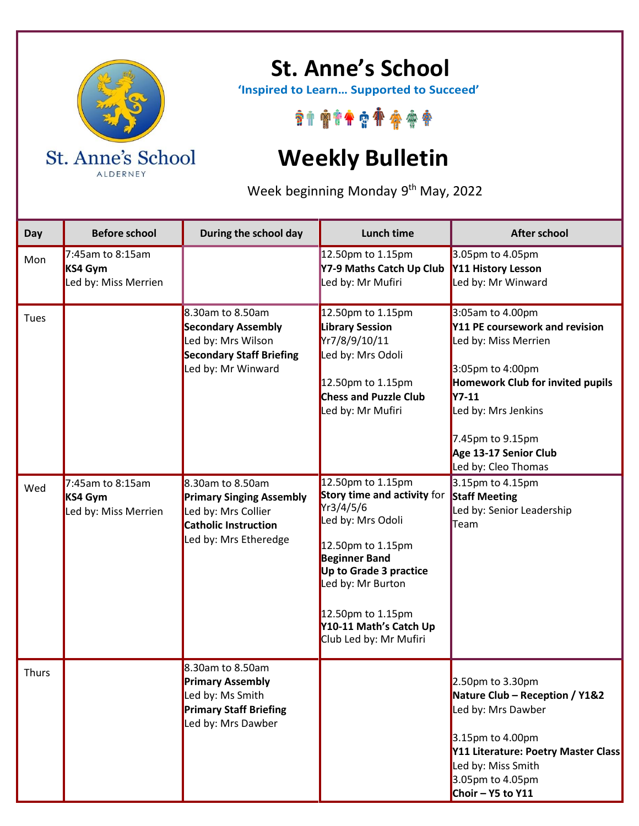

ALDERNEY

## **St. Anne's School**

 **'Inspired to Learn… Supported to Succeed'**

\*\*\*\*\*\*\*\*\*\*

## **Weekly Bulletin**

Week beginning Monday 9<sup>th</sup> May, 2022

| Day          | <b>Before school</b>                                   | During the school day                                                                                                        | Lunch time                                                                                                                                                                                                                                              | <b>After school</b>                                                                                                                                                                                                                           |
|--------------|--------------------------------------------------------|------------------------------------------------------------------------------------------------------------------------------|---------------------------------------------------------------------------------------------------------------------------------------------------------------------------------------------------------------------------------------------------------|-----------------------------------------------------------------------------------------------------------------------------------------------------------------------------------------------------------------------------------------------|
| Mon          | $7:45$ am to 8:15am<br>KS4 Gym<br>Led by: Miss Merrien |                                                                                                                              | 12.50pm to 1.15pm<br>Y7-9 Maths Catch Up Club<br>Led by: Mr Mufiri                                                                                                                                                                                      | 3.05pm to 4.05pm<br>Y11 History Lesson<br>Led by: Mr Winward                                                                                                                                                                                  |
| Tues         |                                                        | 8.30am to 8.50am<br><b>Secondary Assembly</b><br>Led by: Mrs Wilson<br><b>Secondary Staff Briefing</b><br>Led by: Mr Winward | 12.50pm to 1.15pm<br><b>Library Session</b><br>Yr7/8/9/10/11<br>Led by: Mrs Odoli<br>12.50pm to 1.15pm<br><b>Chess and Puzzle Club</b><br>Led by: Mr Mufiri                                                                                             | 3:05am to 4.00pm<br>Y11 PE coursework and revision<br>Led by: Miss Merrien<br>3:05pm to 4:00pm<br>Homework Club for invited pupils<br><b>Y7-11</b><br>Led by: Mrs Jenkins<br>7.45pm to 9.15pm<br>Age 13-17 Senior Club<br>Led by: Cleo Thomas |
| Wed          | 7:45am to 8:15am<br>KS4 Gym<br>Led by: Miss Merrien    | 8.30am to 8.50am<br><b>Primary Singing Assembly</b><br>Led by: Mrs Collier<br>Catholic Instruction<br>Led by: Mrs Etheredge  | 12.50pm to 1.15pm<br>Story time and activity for<br>Yr3/4/5/6<br>Led by: Mrs Odoli<br>12.50pm to 1.15pm<br><b>Beginner Band</b><br>Up to Grade 3 practice<br>Led by: Mr Burton<br>12.50pm to 1.15pm<br>Y10-11 Math's Catch Up<br>Club Led by: Mr Mufiri | 3.15pm to 4.15pm<br><b>Staff Meeting</b><br>Led by: Senior Leadership<br>Team                                                                                                                                                                 |
| <b>Thurs</b> |                                                        | 8.30am to 8.50am<br><b>Primary Assembly</b><br>Led by: Ms Smith<br><b>Primary Staff Briefing</b><br>Led by: Mrs Dawber       |                                                                                                                                                                                                                                                         | $2.50pm$ to 3.30pm<br>Nature Club - Reception / Y1&2<br>Led by: Mrs Dawber<br>3.15pm to 4.00pm<br>Y11 Literature: Poetry Master Class<br>Led by: Miss Smith<br>3.05pm to 4.05pm<br>Choir - $Y5$ to $Y11$                                      |